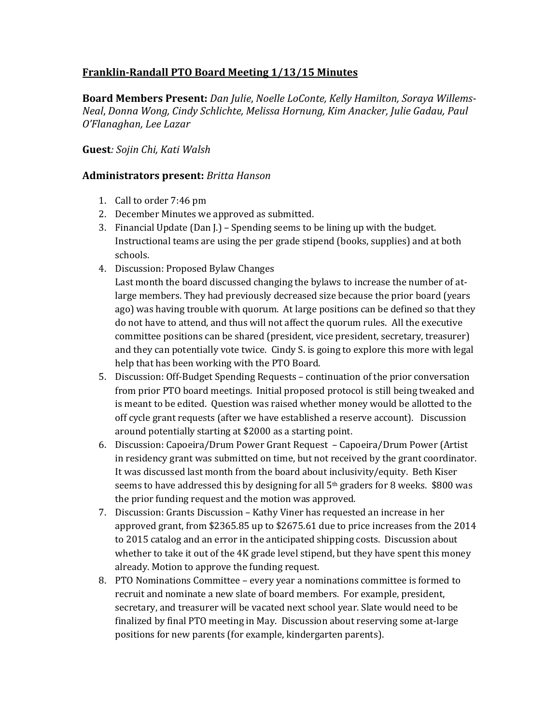## **Franklin-Randall PTO Board Meeting 1/13/15 Minutes**

**Board Members Present:** *Dan Julie*, *Noelle LoConte, Kelly Hamilton, Soraya Willems-Neal*, *Donna Wong, Cindy Schlichte, Melissa Hornung, Kim Anacker, Julie Gadau, Paul O'Flanaghan, Lee Lazar*

## **Guest***: Sojin Chi, Kati Walsh*

## **Administrators present:** *Britta Hanson*

- 1. Call to order 7:46 pm
- 2. December Minutes we approved as submitted.
- 3. Financial Update (Dan  $I.$ ) Spending seems to be lining up with the budget. Instructional teams are using the per grade stipend (books, supplies) and at both schools.
- 4. Discussion: Proposed Bylaw Changes

Last month the board discussed changing the bylaws to increase the number of atlarge members. They had previously decreased size because the prior board (years ago) was having trouble with quorum. At large positions can be defined so that they do not have to attend, and thus will not affect the quorum rules. All the executive committee positions can be shared (president, vice president, secretary, treasurer) and they can potentially vote twice. Cindy S. is going to explore this more with legal help that has been working with the PTO Board.

- 5. Discussion: Off-Budget Spending Requests continuation of the prior conversation from prior PTO board meetings. Initial proposed protocol is still being tweaked and is meant to be edited. Question was raised whether money would be allotted to the off cycle grant requests (after we have established a reserve account). Discussion around potentially starting at \$2000 as a starting point.
- 6. Discussion: Capoeira/Drum Power Grant Request Capoeira/Drum Power (Artist in residency grant was submitted on time, but not received by the grant coordinator. It was discussed last month from the board about inclusivity/equity. Beth Kiser seems to have addressed this by designing for all  $5<sup>th</sup>$  graders for 8 weeks. \$800 was the prior funding request and the motion was approved.
- 7. Discussion: Grants Discussion Kathy Viner has requested an increase in her approved grant, from \$2365.85 up to \$2675.61 due to price increases from the 2014 to 2015 catalog and an error in the anticipated shipping costs. Discussion about whether to take it out of the 4K grade level stipend, but they have spent this money already. Motion to approve the funding request.
- 8. PTO Nominations Committee every year a nominations committee is formed to recruit and nominate a new slate of board members. For example, president, secretary, and treasurer will be vacated next school year. Slate would need to be finalized by final PTO meeting in May. Discussion about reserving some at-large positions for new parents (for example, kindergarten parents).